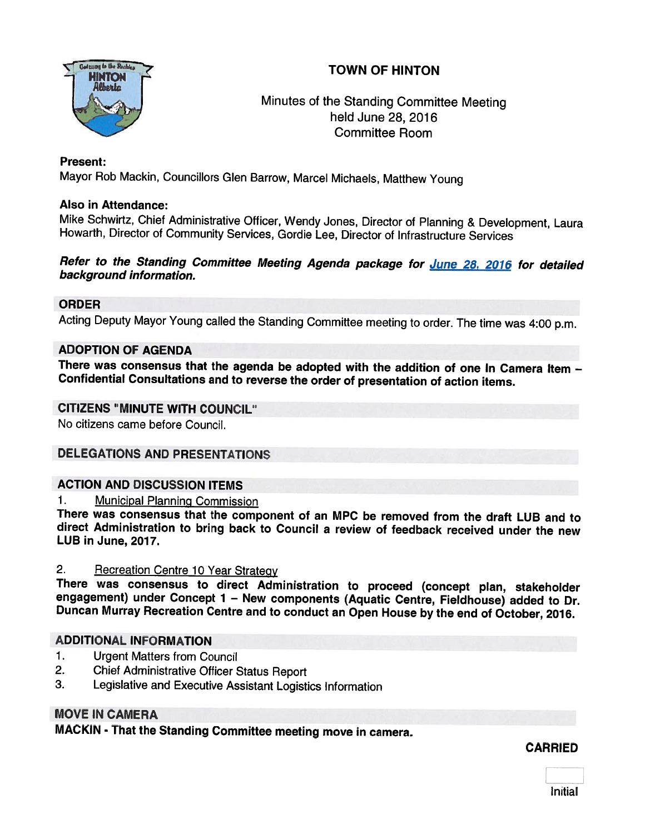

## Minutes of the Standing Committee Meeting held June 28, 2016 Committee Room

## Present:

Mayor Rob Mackin, Councillors Glen Barrow, Marcel Michaels, Matthew Young

## Also in Attendance:

Mike Schwirtz, Chief Administrative Officer, Wendy Jones, Director of Planning & Development, Laura Howarth, Director of Community Services, Gordie Lee, Director of Infrastructure Services

## Refer to the Standing Committee Meeting Agenda package for June 28, 2016 for detailed background information.

## ORDER

Acting Deputy Mayor Young called the Standing Committee meeting to order. The time was 4:00 p.m.

### ADOPTION OF AGENDA

There was consensus that the agenda be adopted with the addition of one In Camera Item -Confidential Consultations and to reverse the order of presentation of action items.

## CITIZENS "MINUTE WITH COUNCIL"

No citizens came before Council.

## DELEGATIONS AND PRESENTATIONS

## ACTION AND DISCUSSION ITEMS

1. Municipal Planning Commission

There was consensus that the component of an MPC be removed from the draft LUB and to direct Administration to bring back to Council <sup>a</sup> review of feedback received under the new LUB in June, 2017.

2. Becreation Centre 10 Year Strategy<br>There was consensus to direct Administration to proceed (concept plan, stakeholder engagement) under Concept 1 - New components (Aquatic Centre, Fieldhouse) added to Dr.<br>Duncan Murray Recreation Centre and to conduct an Open House by the end of October, 2016.

## ADDITIONAL INFORMATION

- 1. Urgent Matters from Council
- 2. Chief Administrative Officer Status Report
- 3. Legislative and Executive Assistant Logistics Information

## MOVE IN CAMERA

MACKIN - That the Standing Committee meeting move in camera.

### CARRIED